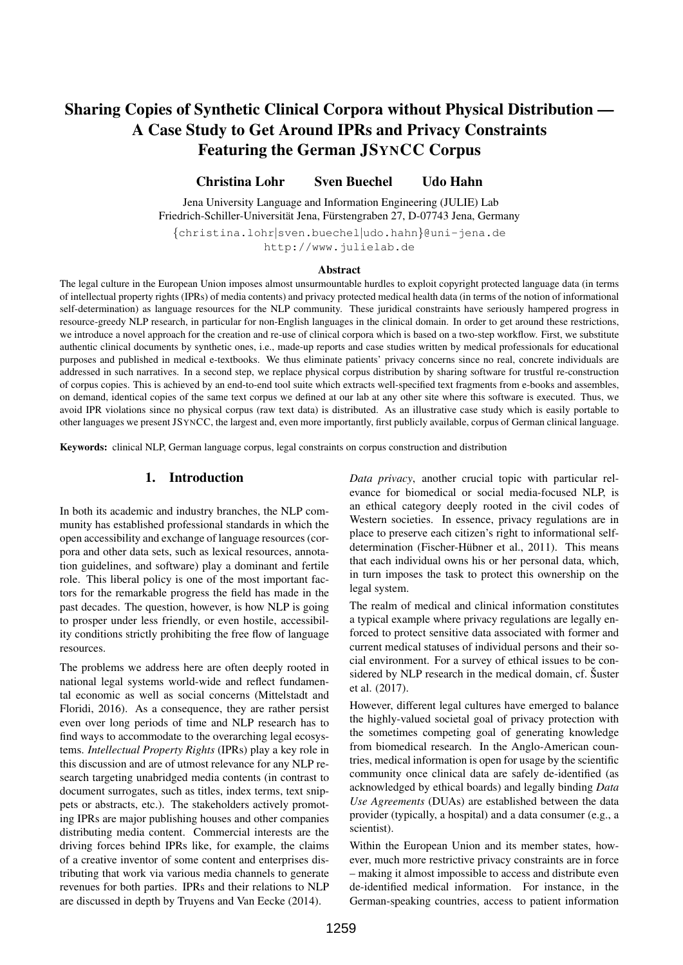# Sharing Copies of Synthetic Clinical Corpora without Physical Distribution — A Case Study to Get Around IPRs and Privacy Constraints Featuring the German JSYNCC Corpus

Christina Lohr Sven Buechel Udo Hahn

Jena University Language and Information Engineering (JULIE) Lab Friedrich-Schiller-Universität Jena, Fürstengraben 27, D-07743 Jena, Germany

{christina.lohr|sven.buechel|udo.hahn}@uni-jena.de http://www.julielab.de

#### Abstract

The legal culture in the European Union imposes almost unsurmountable hurdles to exploit copyright protected language data (in terms of intellectual property rights (IPRs) of media contents) and privacy protected medical health data (in terms of the notion of informational self-determination) as language resources for the NLP community. These juridical constraints have seriously hampered progress in resource-greedy NLP research, in particular for non-English languages in the clinical domain. In order to get around these restrictions, we introduce a novel approach for the creation and re-use of clinical corpora which is based on a two-step workflow. First, we substitute authentic clinical documents by synthetic ones, i.e., made-up reports and case studies written by medical professionals for educational purposes and published in medical e-textbooks. We thus eliminate patients' privacy concerns since no real, concrete individuals are addressed in such narratives. In a second step, we replace physical corpus distribution by sharing software for trustful re-construction of corpus copies. This is achieved by an end-to-end tool suite which extracts well-specified text fragments from e-books and assembles, on demand, identical copies of the same text corpus we defined at our lab at any other site where this software is executed. Thus, we avoid IPR violations since no physical corpus (raw text data) is distributed. As an illustrative case study which is easily portable to other languages we present JSYNCC, the largest and, even more importantly, first publicly available, corpus of German clinical language.

Keywords: clinical NLP, German language corpus, legal constraints on corpus construction and distribution

## 1. Introduction

In both its academic and industry branches, the NLP community has established professional standards in which the open accessibility and exchange of language resources (corpora and other data sets, such as lexical resources, annotation guidelines, and software) play a dominant and fertile role. This liberal policy is one of the most important factors for the remarkable progress the field has made in the past decades. The question, however, is how NLP is going to prosper under less friendly, or even hostile, accessibility conditions strictly prohibiting the free flow of language resources.

The problems we address here are often deeply rooted in national legal systems world-wide and reflect fundamental economic as well as social concerns (Mittelstadt and Floridi, 2016). As a consequence, they are rather persist even over long periods of time and NLP research has to find ways to accommodate to the overarching legal ecosystems. *Intellectual Property Rights* (IPRs) play a key role in this discussion and are of utmost relevance for any NLP research targeting unabridged media contents (in contrast to document surrogates, such as titles, index terms, text snippets or abstracts, etc.). The stakeholders actively promoting IPRs are major publishing houses and other companies distributing media content. Commercial interests are the driving forces behind IPRs like, for example, the claims of a creative inventor of some content and enterprises distributing that work via various media channels to generate revenues for both parties. IPRs and their relations to NLP are discussed in depth by Truyens and Van Eecke (2014).

*Data privacy*, another crucial topic with particular relevance for biomedical or social media-focused NLP, is an ethical category deeply rooted in the civil codes of Western societies. In essence, privacy regulations are in place to preserve each citizen's right to informational selfdetermination (Fischer-Hübner et al., 2011). This means that each individual owns his or her personal data, which, in turn imposes the task to protect this ownership on the legal system.

The realm of medical and clinical information constitutes a typical example where privacy regulations are legally enforced to protect sensitive data associated with former and current medical statuses of individual persons and their social environment. For a survey of ethical issues to be considered by NLP research in the medical domain, cf. Suster et al. (2017).

However, different legal cultures have emerged to balance the highly-valued societal goal of privacy protection with the sometimes competing goal of generating knowledge from biomedical research. In the Anglo-American countries, medical information is open for usage by the scientific community once clinical data are safely de-identified (as acknowledged by ethical boards) and legally binding *Data Use Agreements* (DUAs) are established between the data provider (typically, a hospital) and a data consumer (e.g., a scientist).

Within the European Union and its member states, however, much more restrictive privacy constraints are in force – making it almost impossible to access and distribute even de-identified medical information. For instance, in the German-speaking countries, access to patient information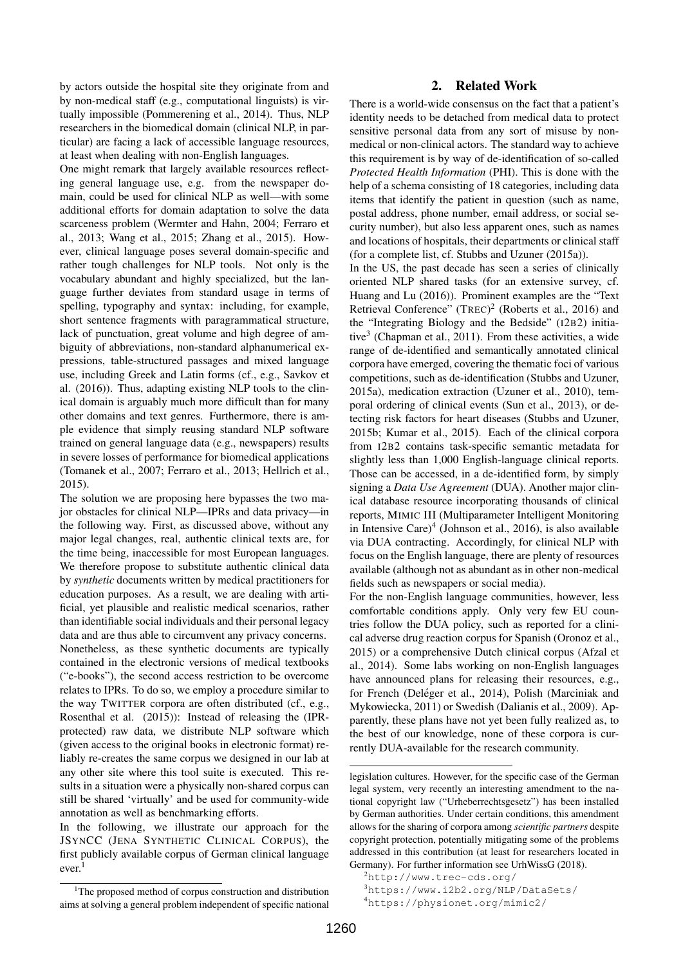by actors outside the hospital site they originate from and by non-medical staff (e.g., computational linguists) is virtually impossible (Pommerening et al., 2014). Thus, NLP researchers in the biomedical domain (clinical NLP, in particular) are facing a lack of accessible language resources, at least when dealing with non-English languages.

One might remark that largely available resources reflecting general language use, e.g. from the newspaper domain, could be used for clinical NLP as well—with some additional efforts for domain adaptation to solve the data scarceness problem (Wermter and Hahn, 2004; Ferraro et al., 2013; Wang et al., 2015; Zhang et al., 2015). However, clinical language poses several domain-specific and rather tough challenges for NLP tools. Not only is the vocabulary abundant and highly specialized, but the language further deviates from standard usage in terms of spelling, typography and syntax: including, for example, short sentence fragments with paragrammatical structure, lack of punctuation, great volume and high degree of ambiguity of abbreviations, non-standard alphanumerical expressions, table-structured passages and mixed language use, including Greek and Latin forms (cf., e.g., Savkov et al. (2016)). Thus, adapting existing NLP tools to the clinical domain is arguably much more difficult than for many other domains and text genres. Furthermore, there is ample evidence that simply reusing standard NLP software trained on general language data (e.g., newspapers) results in severe losses of performance for biomedical applications (Tomanek et al., 2007; Ferraro et al., 2013; Hellrich et al., 2015).

The solution we are proposing here bypasses the two major obstacles for clinical NLP—IPRs and data privacy—in the following way. First, as discussed above, without any major legal changes, real, authentic clinical texts are, for the time being, inaccessible for most European languages. We therefore propose to substitute authentic clinical data by *synthetic* documents written by medical practitioners for education purposes. As a result, we are dealing with artificial, yet plausible and realistic medical scenarios, rather than identifiable social individuals and their personal legacy data and are thus able to circumvent any privacy concerns. Nonetheless, as these synthetic documents are typically contained in the electronic versions of medical textbooks ("e-books"), the second access restriction to be overcome relates to IPRs. To do so, we employ a procedure similar to the way TWITTER corpora are often distributed (cf., e.g., Rosenthal et al. (2015)): Instead of releasing the (IPRprotected) raw data, we distribute NLP software which (given access to the original books in electronic format) reliably re-creates the same corpus we designed in our lab at any other site where this tool suite is executed. This results in a situation were a physically non-shared corpus can still be shared 'virtually' and be used for community-wide annotation as well as benchmarking efforts.

In the following, we illustrate our approach for the JSYNCC (JENA SYNTHETIC CLINICAL CORPUS), the first publicly available corpus of German clinical language ever.<sup>1</sup>

# 2. Related Work

There is a world-wide consensus on the fact that a patient's identity needs to be detached from medical data to protect sensitive personal data from any sort of misuse by nonmedical or non-clinical actors. The standard way to achieve this requirement is by way of de-identification of so-called *Protected Health Information* (PHI). This is done with the help of a schema consisting of 18 categories, including data items that identify the patient in question (such as name, postal address, phone number, email address, or social security number), but also less apparent ones, such as names and locations of hospitals, their departments or clinical staff (for a complete list, cf. Stubbs and Uzuner (2015a)).

In the US, the past decade has seen a series of clinically oriented NLP shared tasks (for an extensive survey, cf. Huang and Lu (2016)). Prominent examples are the "Text Retrieval Conference" (TREC)<sup>2</sup> (Roberts et al., 2016) and the "Integrating Biology and the Bedside" (I2B2) initiative<sup>3</sup> (Chapman et al., 2011). From these activities, a wide range of de-identified and semantically annotated clinical corpora have emerged, covering the thematic foci of various competitions, such as de-identification (Stubbs and Uzuner, 2015a), medication extraction (Uzuner et al., 2010), temporal ordering of clinical events (Sun et al., 2013), or detecting risk factors for heart diseases (Stubbs and Uzuner, 2015b; Kumar et al., 2015). Each of the clinical corpora from I2B2 contains task-specific semantic metadata for slightly less than 1,000 English-language clinical reports. Those can be accessed, in a de-identified form, by simply signing a *Data Use Agreement* (DUA). Another major clinical database resource incorporating thousands of clinical reports, MIMIC III (Multiparameter Intelligent Monitoring in Intensive Care)<sup>4</sup> (Johnson et al., 2016), is also available via DUA contracting. Accordingly, for clinical NLP with focus on the English language, there are plenty of resources available (although not as abundant as in other non-medical fields such as newspapers or social media).

For the non-English language communities, however, less comfortable conditions apply. Only very few EU countries follow the DUA policy, such as reported for a clinical adverse drug reaction corpus for Spanish (Oronoz et al., 2015) or a comprehensive Dutch clinical corpus (Afzal et al., 2014). Some labs working on non-English languages have announced plans for releasing their resources, e.g., for French (Deléger et al., 2014), Polish (Marciniak and Mykowiecka, 2011) or Swedish (Dalianis et al., 2009). Apparently, these plans have not yet been fully realized as, to the best of our knowledge, none of these corpora is currently DUA-available for the research community.

<sup>&</sup>lt;sup>1</sup>The proposed method of corpus construction and distribution aims at solving a general problem independent of specific national

legislation cultures. However, for the specific case of the German legal system, very recently an interesting amendment to the national copyright law ("Urheberrechtsgesetz") has been installed by German authorities. Under certain conditions, this amendment allows for the sharing of corpora among *scientific partners* despite copyright protection, potentially mitigating some of the problems addressed in this contribution (at least for researchers located in Germany). For further information see UrhWissG (2018).

<sup>2</sup>http://www.trec-cds.org/

<sup>3</sup>https://www.i2b2.org/NLP/DataSets/

<sup>4</sup>https://physionet.org/mimic2/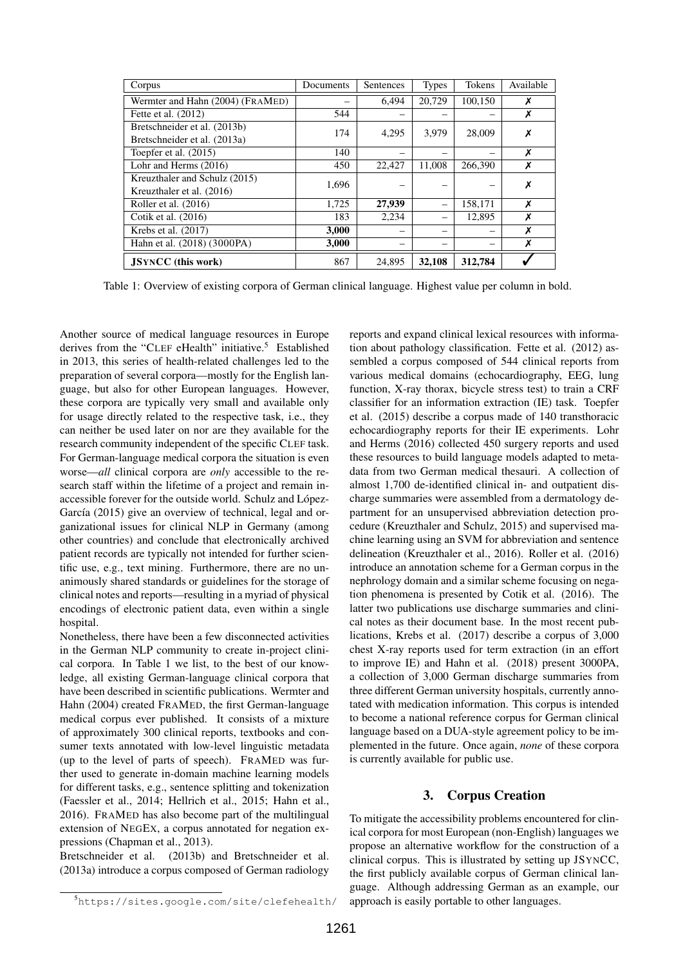| Corpus                           | Documents | Sentences | <b>Types</b> | Tokens  | Available |  |
|----------------------------------|-----------|-----------|--------------|---------|-----------|--|
| Wermter and Hahn (2004) (FRAMED) |           | 6,494     | 20,729       | 100,150 | Х         |  |
| Fette et al. (2012)              | 544       |           |              |         | Х         |  |
| Bretschneider et al. (2013b)     | 174       | 4,295     | 3,979        | 28,009  | Х         |  |
| Bretschneider et al. (2013a)     |           |           |              |         |           |  |
| Toepfer et al. (2015)            | 140       |           |              |         | Х         |  |
| Lohr and Herms (2016)            | 450       | 22,427    | 11,008       | 266,390 | X         |  |
| Kreuzthaler and Schulz (2015)    | 1,696     |           |              |         | Х         |  |
| Kreuzthaler et al. (2016)        |           |           |              |         |           |  |
| Roller et al. (2016)             | 1,725     | 27,939    |              | 158,171 | X         |  |
| Cotik et al. (2016)              | 183       | 2,234     |              | 12,895  | Х         |  |
| Krebs et al. (2017)              | 3,000     |           |              |         | Х         |  |
| Hahn et al. (2018) (3000PA)      | 3,000     |           |              |         | Х         |  |
| <b>JSYNCC</b> (this work)        | 867       | 24.895    | 32,108       | 312,784 |           |  |

Table 1: Overview of existing corpora of German clinical language. Highest value per column in bold.

Another source of medical language resources in Europe derives from the "CLEF eHealth" initiative.<sup>5</sup> Established in 2013, this series of health-related challenges led to the preparation of several corpora—mostly for the English language, but also for other European languages. However, these corpora are typically very small and available only for usage directly related to the respective task, i.e., they can neither be used later on nor are they available for the research community independent of the specific CLEF task. For German-language medical corpora the situation is even worse—*all* clinical corpora are *only* accessible to the research staff within the lifetime of a project and remain inaccessible forever for the outside world. Schulz and López-García (2015) give an overview of technical, legal and organizational issues for clinical NLP in Germany (among other countries) and conclude that electronically archived patient records are typically not intended for further scientific use, e.g., text mining. Furthermore, there are no unanimously shared standards or guidelines for the storage of clinical notes and reports—resulting in a myriad of physical encodings of electronic patient data, even within a single hospital.

Nonetheless, there have been a few disconnected activities in the German NLP community to create in-project clinical corpora. In Table 1 we list, to the best of our knowledge, all existing German-language clinical corpora that have been described in scientific publications. Wermter and Hahn (2004) created FRAMED, the first German-language medical corpus ever published. It consists of a mixture of approximately 300 clinical reports, textbooks and consumer texts annotated with low-level linguistic metadata (up to the level of parts of speech). FRAMED was further used to generate in-domain machine learning models for different tasks, e.g., sentence splitting and tokenization (Faessler et al., 2014; Hellrich et al., 2015; Hahn et al., 2016). FRAMED has also become part of the multilingual extension of NEGEX, a corpus annotated for negation expressions (Chapman et al., 2013).

Bretschneider et al. (2013b) and Bretschneider et al. (2013a) introduce a corpus composed of German radiology

<sup>5</sup>https://sites.google.com/site/clefehealth/

reports and expand clinical lexical resources with information about pathology classification. Fette et al. (2012) assembled a corpus composed of 544 clinical reports from various medical domains (echocardiography, EEG, lung function, X-ray thorax, bicycle stress test) to train a CRF classifier for an information extraction (IE) task. Toepfer et al. (2015) describe a corpus made of 140 transthoracic echocardiography reports for their IE experiments. Lohr and Herms (2016) collected 450 surgery reports and used these resources to build language models adapted to metadata from two German medical thesauri. A collection of almost 1,700 de-identified clinical in- and outpatient discharge summaries were assembled from a dermatology department for an unsupervised abbreviation detection procedure (Kreuzthaler and Schulz, 2015) and supervised machine learning using an SVM for abbreviation and sentence delineation (Kreuzthaler et al., 2016). Roller et al. (2016) introduce an annotation scheme for a German corpus in the nephrology domain and a similar scheme focusing on negation phenomena is presented by Cotik et al. (2016). The latter two publications use discharge summaries and clinical notes as their document base. In the most recent publications, Krebs et al. (2017) describe a corpus of 3,000 chest X-ray reports used for term extraction (in an effort to improve IE) and Hahn et al. (2018) present 3000PA, a collection of 3,000 German discharge summaries from three different German university hospitals, currently annotated with medication information. This corpus is intended to become a national reference corpus for German clinical language based on a DUA-style agreement policy to be implemented in the future. Once again, *none* of these corpora is currently available for public use.

# 3. Corpus Creation

To mitigate the accessibility problems encountered for clinical corpora for most European (non-English) languages we propose an alternative workflow for the construction of a clinical corpus. This is illustrated by setting up JSYNCC, the first publicly available corpus of German clinical language. Although addressing German as an example, our approach is easily portable to other languages.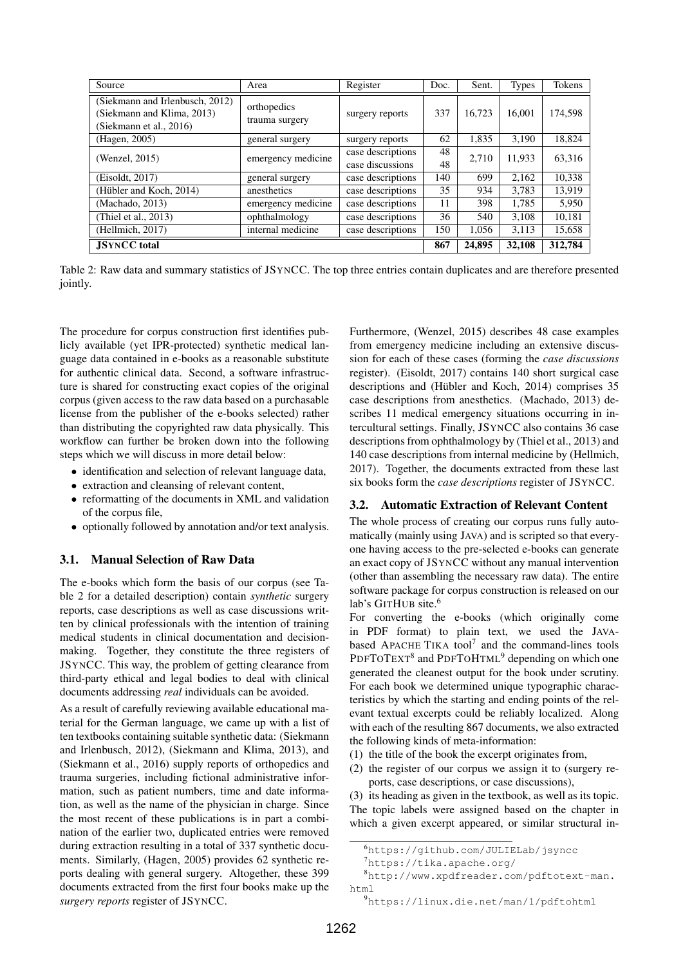| Source                                                                                   | Area                          | Register                              | Doc.     | Sent.  | <b>Types</b> | Tokens  |
|------------------------------------------------------------------------------------------|-------------------------------|---------------------------------------|----------|--------|--------------|---------|
| (Siekmann and Irlenbusch, 2012)<br>(Siekmann and Klima, 2013)<br>(Siekmann et al., 2016) | orthopedics<br>trauma surgery | surgery reports                       | 337      | 16.723 | 16,001       | 174,598 |
| (Hagen, 2005)                                                                            | general surgery               | surgery reports                       | 62       | 1.835  | 3.190        | 18.824  |
| (Wenzel, 2015)                                                                           | emergency medicine            | case descriptions<br>case discussions | 48<br>48 | 2,710  | 11,933       | 63,316  |
| (Eisoldt, 2017)                                                                          | general surgery               | case descriptions                     | 140      | 699    | 2,162        | 10,338  |
| (Hübler and Koch, 2014)                                                                  | anesthetics                   | case descriptions                     | 35       | 934    | 3,783        | 13.919  |
| (Machado, 2013)                                                                          | emergency medicine            | case descriptions                     | 11       | 398    | 1,785        | 5.950   |
| (Thiel et al., 2013)                                                                     | ophthalmology                 | case descriptions                     | 36       | 540    | 3,108        | 10,181  |
| (Hellmich, 2017)                                                                         | internal medicine             | case descriptions                     | 150      | 1,056  | 3,113        | 15,658  |
| <b>JSYNCC</b> total                                                                      |                               |                                       | 867      | 24,895 | 32,108       | 312,784 |

Table 2: Raw data and summary statistics of JSYNCC. The top three entries contain duplicates and are therefore presented jointly.

The procedure for corpus construction first identifies publicly available (yet IPR-protected) synthetic medical language data contained in e-books as a reasonable substitute for authentic clinical data. Second, a software infrastructure is shared for constructing exact copies of the original corpus (given access to the raw data based on a purchasable license from the publisher of the e-books selected) rather than distributing the copyrighted raw data physically. This workflow can further be broken down into the following steps which we will discuss in more detail below:

- identification and selection of relevant language data,
- extraction and cleansing of relevant content,
- reformatting of the documents in XML and validation of the corpus file,
- optionally followed by annotation and/or text analysis.

#### 3.1. Manual Selection of Raw Data

The e-books which form the basis of our corpus (see Table 2 for a detailed description) contain *synthetic* surgery reports, case descriptions as well as case discussions written by clinical professionals with the intention of training medical students in clinical documentation and decisionmaking. Together, they constitute the three registers of JSYNCC. This way, the problem of getting clearance from third-party ethical and legal bodies to deal with clinical documents addressing *real* individuals can be avoided.

As a result of carefully reviewing available educational material for the German language, we came up with a list of ten textbooks containing suitable synthetic data: (Siekmann and Irlenbusch, 2012), (Siekmann and Klima, 2013), and (Siekmann et al., 2016) supply reports of orthopedics and trauma surgeries, including fictional administrative information, such as patient numbers, time and date information, as well as the name of the physician in charge. Since the most recent of these publications is in part a combination of the earlier two, duplicated entries were removed during extraction resulting in a total of 337 synthetic documents. Similarly, (Hagen, 2005) provides 62 synthetic reports dealing with general surgery. Altogether, these 399 documents extracted from the first four books make up the *surgery reports* register of JSYNCC.

Furthermore, (Wenzel, 2015) describes 48 case examples from emergency medicine including an extensive discussion for each of these cases (forming the *case discussions* register). (Eisoldt, 2017) contains 140 short surgical case descriptions and (Hübler and Koch, 2014) comprises 35 case descriptions from anesthetics. (Machado, 2013) describes 11 medical emergency situations occurring in intercultural settings. Finally, JSYNCC also contains 36 case descriptions from ophthalmology by (Thiel et al., 2013) and 140 case descriptions from internal medicine by (Hellmich, 2017). Together, the documents extracted from these last six books form the *case descriptions* register of JSYNCC.

#### 3.2. Automatic Extraction of Relevant Content

The whole process of creating our corpus runs fully automatically (mainly using JAVA) and is scripted so that everyone having access to the pre-selected e-books can generate an exact copy of JSYNCC without any manual intervention (other than assembling the necessary raw data). The entire software package for corpus construction is released on our lab's GITHUB site.<sup>6</sup>

For converting the e-books (which originally come in PDF format) to plain text, we used the JAVAbased APACHE TIKA tool<sup>7</sup> and the command-lines tools PDFTOTEXT<sup>8</sup> and PDFTOHTML<sup>9</sup> depending on which one generated the cleanest output for the book under scrutiny. For each book we determined unique typographic characteristics by which the starting and ending points of the relevant textual excerpts could be reliably localized. Along with each of the resulting 867 documents, we also extracted the following kinds of meta-information:

- (1) the title of the book the excerpt originates from,
- (2) the register of our corpus we assign it to (surgery reports, case descriptions, or case discussions),

(3) its heading as given in the textbook, as well as its topic. The topic labels were assigned based on the chapter in which a given excerpt appeared, or similar structural in-

<sup>6</sup>https://github.com/JULIELab/jsyncc

 $7$ https://tika.apache.org/

<sup>8</sup>http://www.xpdfreader.com/pdftotext-man. html

<sup>9</sup>https://linux.die.net/man/1/pdftohtml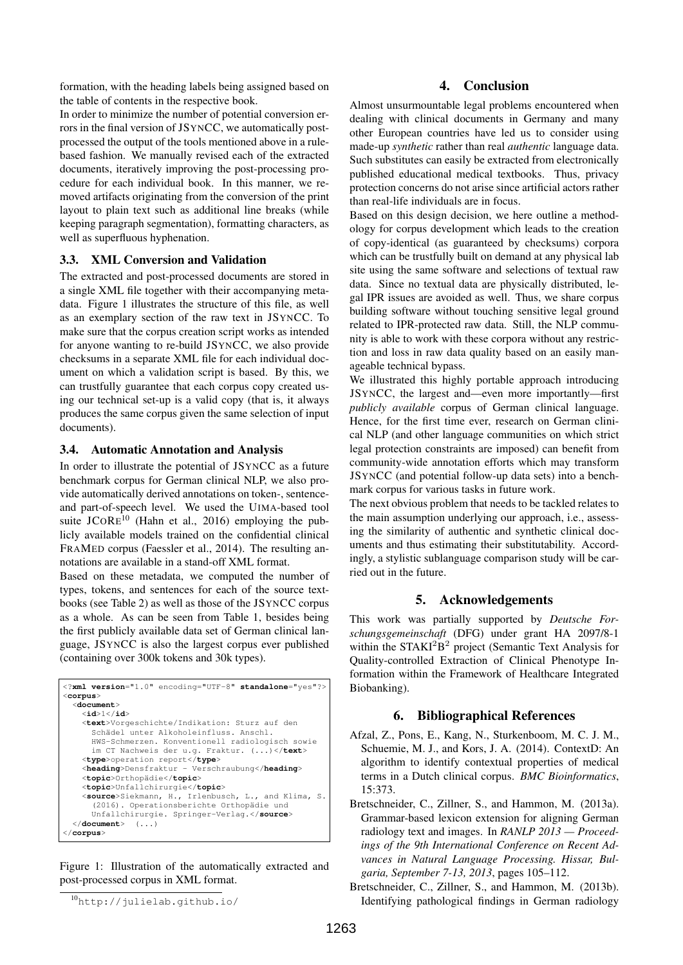formation, with the heading labels being assigned based on the table of contents in the respective book.

In order to minimize the number of potential conversion errors in the final version of JSYNCC, we automatically postprocessed the output of the tools mentioned above in a rulebased fashion. We manually revised each of the extracted documents, iteratively improving the post-processing procedure for each individual book. In this manner, we removed artifacts originating from the conversion of the print layout to plain text such as additional line breaks (while keeping paragraph segmentation), formatting characters, as well as superfluous hyphenation.

# 3.3. XML Conversion and Validation

The extracted and post-processed documents are stored in a single XML file together with their accompanying metadata. Figure 1 illustrates the structure of this file, as well as an exemplary section of the raw text in JSYNCC. To make sure that the corpus creation script works as intended for anyone wanting to re-build JSYNCC, we also provide checksums in a separate XML file for each individual document on which a validation script is based. By this, we can trustfully guarantee that each corpus copy created using our technical set-up is a valid copy (that is, it always produces the same corpus given the same selection of input documents).

## 3.4. Automatic Annotation and Analysis

In order to illustrate the potential of JSYNCC as a future benchmark corpus for German clinical NLP, we also provide automatically derived annotations on token-, sentenceand part-of-speech level. We used the UIMA-based tool suite  $JCORE<sup>10</sup>$  (Hahn et al., 2016) employing the publicly available models trained on the confidential clinical FRAMED corpus (Faessler et al., 2014). The resulting annotations are available in a stand-off XML format.

Based on these metadata, we computed the number of types, tokens, and sentences for each of the source textbooks (see Table 2) as well as those of the JSYNCC corpus as a whole. As can be seen from Table 1, besides being the first publicly available data set of German clinical language, JSYNCC is also the largest corpus ever published (containing over 300k tokens and 30k types).

```
<?xml version="1.0" encoding="UTF-8" standalone="yes"?>
<corpus>
  <document>
    <id>1</id>
    <text>Vorgeschichte/Indikation: Sturz auf den
       Schädel unter Alkoholeinfluss. Anschl.
       HWS-Schmerzen. Konventionell radiologisch sowie
im CT Nachweis der u.g. Fraktur. (...)</text>
    <type>operation report</type>
    <heading>Densfraktur - Verschraubung</heading>
    <topic>Orthop¨adie</topic>
    <topic>Unfallchirurgie</topic>
    <source>Siekmann, H., Irlenbusch, L., and Klima, S.
       (2016). Operationsberichte Orthopädie und<br>Unfallchirurgie. Springer-Verlag.</source>
  </document> (...)
</corpus>
```
Figure 1: Illustration of the automatically extracted and post-processed corpus in XML format.

# 4. Conclusion

Almost unsurmountable legal problems encountered when dealing with clinical documents in Germany and many other European countries have led us to consider using made-up *synthetic* rather than real *authentic* language data. Such substitutes can easily be extracted from electronically published educational medical textbooks. Thus, privacy protection concerns do not arise since artificial actors rather than real-life individuals are in focus.

Based on this design decision, we here outline a methodology for corpus development which leads to the creation of copy-identical (as guaranteed by checksums) corpora which can be trustfully built on demand at any physical lab site using the same software and selections of textual raw data. Since no textual data are physically distributed, legal IPR issues are avoided as well. Thus, we share corpus building software without touching sensitive legal ground related to IPR-protected raw data. Still, the NLP community is able to work with these corpora without any restriction and loss in raw data quality based on an easily manageable technical bypass.

We illustrated this highly portable approach introducing JSYNCC, the largest and—even more importantly—first *publicly available* corpus of German clinical language. Hence, for the first time ever, research on German clinical NLP (and other language communities on which strict legal protection constraints are imposed) can benefit from community-wide annotation efforts which may transform JSYNCC (and potential follow-up data sets) into a benchmark corpus for various tasks in future work.

The next obvious problem that needs to be tackled relates to the main assumption underlying our approach, i.e., assessing the similarity of authentic and synthetic clinical documents and thus estimating their substitutability. Accordingly, a stylistic sublanguage comparison study will be carried out in the future.

# 5. Acknowledgements

This work was partially supported by *Deutsche Forschungsgemeinschaft* (DFG) under grant HA 2097/8-1 within the STAKI<sup>2</sup>B<sup>2</sup> project (Semantic Text Analysis for Quality-controlled Extraction of Clinical Phenotype Information within the Framework of Healthcare Integrated Biobanking).

## 6. Bibliographical References

- Afzal, Z., Pons, E., Kang, N., Sturkenboom, M. C. J. M., Schuemie, M. J., and Kors, J. A. (2014). ContextD: An algorithm to identify contextual properties of medical terms in a Dutch clinical corpus. *BMC Bioinformatics*, 15:373.
- Bretschneider, C., Zillner, S., and Hammon, M. (2013a). Grammar-based lexicon extension for aligning German radiology text and images. In *RANLP 2013 — Proceedings of the 9th International Conference on Recent Advances in Natural Language Processing. Hissar, Bulgaria, September 7-13, 2013*, pages 105–112.
- Bretschneider, C., Zillner, S., and Hammon, M. (2013b). Identifying pathological findings in German radiology

<sup>10</sup>http://julielab.github.io/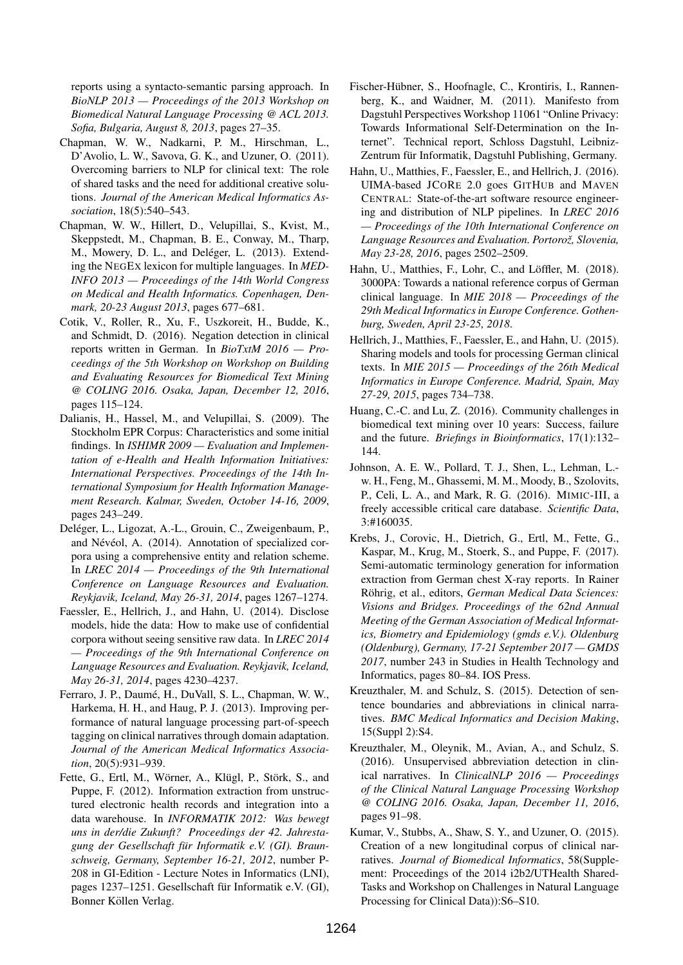reports using a syntacto-semantic parsing approach. In *BioNLP 2013 — Proceedings of the 2013 Workshop on Biomedical Natural Language Processing @ ACL 2013. Sofia, Bulgaria, August 8, 2013*, pages 27–35.

- Chapman, W. W., Nadkarni, P. M., Hirschman, L., D'Avolio, L. W., Savova, G. K., and Uzuner, O. (2011). Overcoming barriers to NLP for clinical text: The role of shared tasks and the need for additional creative solutions. *Journal of the American Medical Informatics Association*, 18(5):540–543.
- Chapman, W. W., Hillert, D., Velupillai, S., Kvist, M., Skeppstedt, M., Chapman, B. E., Conway, M., Tharp, M., Mowery, D. L., and Deléger, L. (2013). Extending the NEGEX lexicon for multiple languages. In *MED-INFO 2013 — Proceedings of the 14th World Congress on Medical and Health Informatics. Copenhagen, Denmark, 20-23 August 2013*, pages 677–681.
- Cotik, V., Roller, R., Xu, F., Uszkoreit, H., Budde, K., and Schmidt, D. (2016). Negation detection in clinical reports written in German. In *BioTxtM 2016 — Proceedings of the 5th Workshop on Workshop on Building and Evaluating Resources for Biomedical Text Mining @ COLING 2016. Osaka, Japan, December 12, 2016*, pages 115–124.
- Dalianis, H., Hassel, M., and Velupillai, S. (2009). The Stockholm EPR Corpus: Characteristics and some initial findings. In *ISHIMR 2009 — Evaluation and Implementation of e-Health and Health Information Initiatives: International Perspectives. Proceedings of the 14th International Symposium for Health Information Management Research. Kalmar, Sweden, October 14-16, 2009*, pages 243–249.
- Deléger, L., Ligozat, A.-L., Grouin, C., Zweigenbaum, P., and Névéol, A. (2014). Annotation of specialized corpora using a comprehensive entity and relation scheme. In *LREC 2014 — Proceedings of the 9th International Conference on Language Resources and Evaluation. Reykjavik, Iceland, May 26-31, 2014*, pages 1267–1274.
- Faessler, E., Hellrich, J., and Hahn, U. (2014). Disclose models, hide the data: How to make use of confidential corpora without seeing sensitive raw data. In *LREC 2014 — Proceedings of the 9th International Conference on Language Resources and Evaluation. Reykjavik, Iceland, May 26-31, 2014*, pages 4230–4237.
- Ferraro, J. P., Daumé, H., DuVall, S. L., Chapman, W. W., Harkema, H. H., and Haug, P. J. (2013). Improving performance of natural language processing part-of-speech tagging on clinical narratives through domain adaptation. *Journal of the American Medical Informatics Association*, 20(5):931–939.
- Fette, G., Ertl, M., Wörner, A., Klügl, P., Störk, S., and Puppe, F. (2012). Information extraction from unstructured electronic health records and integration into a data warehouse. In *INFORMATIK 2012: Was bewegt uns in der/die Zukunft? Proceedings der 42. Jahrestagung der Gesellschaft fur Informatik e.V. (GI). Braun- ¨ schweig, Germany, September 16-21, 2012*, number P-208 in GI-Edition - Lecture Notes in Informatics (LNI), pages 1237–1251. Gesellschaft für Informatik e.V. (GI), Bonner Köllen Verlag.
- Fischer-Hübner, S., Hoofnagle, C., Krontiris, I., Rannenberg, K., and Waidner, M. (2011). Manifesto from Dagstuhl Perspectives Workshop 11061 "Online Privacy: Towards Informational Self-Determination on the Internet". Technical report, Schloss Dagstuhl, Leibniz-Zentrum für Informatik, Dagstuhl Publishing, Germany.
- Hahn, U., Matthies, F., Faessler, E., and Hellrich, J. (2016). UIMA-based JCORE 2.0 goes GITHUB and MAVEN CENTRAL: State-of-the-art software resource engineering and distribution of NLP pipelines. In *LREC 2016 — Proceedings of the 10th International Conference on* Language Resources and Evaluation. Portorož, Slovenia, *May 23-28, 2016*, pages 2502–2509.
- Hahn, U., Matthies, F., Lohr, C., and Löffler, M. (2018). 3000PA: Towards a national reference corpus of German clinical language. In *MIE 2018 — Proceedings of the 29th Medical Informatics in Europe Conference. Gothenburg, Sweden, April 23-25, 2018*.
- Hellrich, J., Matthies, F., Faessler, E., and Hahn, U. (2015). Sharing models and tools for processing German clinical texts. In *MIE 2015 — Proceedings of the 26th Medical Informatics in Europe Conference. Madrid, Spain, May 27-29, 2015*, pages 734–738.
- Huang, C.-C. and Lu, Z. (2016). Community challenges in biomedical text mining over 10 years: Success, failure and the future. *Briefings in Bioinformatics*, 17(1):132– 144.
- Johnson, A. E. W., Pollard, T. J., Shen, L., Lehman, L. w. H., Feng, M., Ghassemi, M. M., Moody, B., Szolovits, P., Celi, L. A., and Mark, R. G. (2016). MIMIC-III, a freely accessible critical care database. *Scientific Data*, 3:#160035.
- Krebs, J., Corovic, H., Dietrich, G., Ertl, M., Fette, G., Kaspar, M., Krug, M., Stoerk, S., and Puppe, F. (2017). Semi-automatic terminology generation for information extraction from German chest X-ray reports. In Rainer Röhrig, et al., editors, German Medical Data Sciences: *Visions and Bridges. Proceedings of the 62nd Annual Meeting of the German Association of Medical Informatics, Biometry and Epidemiology (gmds e.V.). Oldenburg (Oldenburg), Germany, 17-21 September 2017 — GMDS 2017*, number 243 in Studies in Health Technology and Informatics, pages 80–84. IOS Press.
- Kreuzthaler, M. and Schulz, S. (2015). Detection of sentence boundaries and abbreviations in clinical narratives. *BMC Medical Informatics and Decision Making*, 15(Suppl 2):S4.
- Kreuzthaler, M., Oleynik, M., Avian, A., and Schulz, S. (2016). Unsupervised abbreviation detection in clinical narratives. In *ClinicalNLP 2016 — Proceedings of the Clinical Natural Language Processing Workshop @ COLING 2016. Osaka, Japan, December 11, 2016*, pages 91–98.
- Kumar, V., Stubbs, A., Shaw, S. Y., and Uzuner, O. (2015). Creation of a new longitudinal corpus of clinical narratives. *Journal of Biomedical Informatics*, 58(Supplement: Proceedings of the 2014 i2b2/UTHealth Shared-Tasks and Workshop on Challenges in Natural Language Processing for Clinical Data)):S6–S10.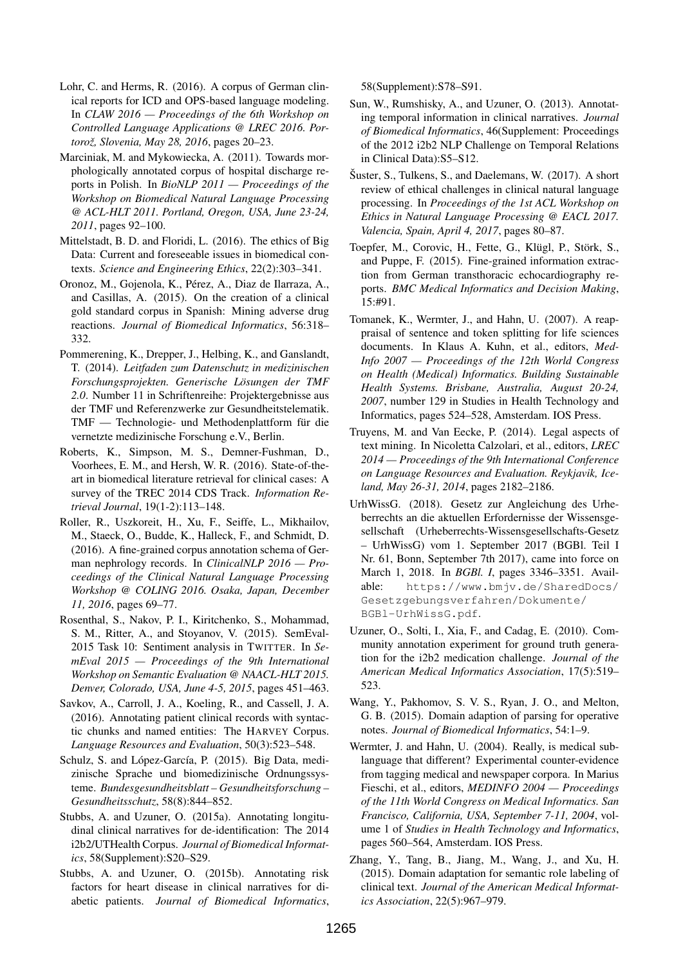- Lohr, C. and Herms, R. (2016). A corpus of German clinical reports for ICD and OPS-based language modeling. In *CLAW 2016 — Proceedings of the 6th Workshop on Controlled Language Applications @ LREC 2016. Portorož, Slovenia, May 28, 2016, pages 20-23.*
- Marciniak, M. and Mykowiecka, A. (2011). Towards morphologically annotated corpus of hospital discharge reports in Polish. In *BioNLP 2011 — Proceedings of the Workshop on Biomedical Natural Language Processing @ ACL-HLT 2011. Portland, Oregon, USA, June 23-24, 2011*, pages 92–100.
- Mittelstadt, B. D. and Floridi, L. (2016). The ethics of Big Data: Current and foreseeable issues in biomedical contexts. *Science and Engineering Ethics*, 22(2):303–341.
- Oronoz, M., Gojenola, K., Pérez, A., Diaz de Ilarraza, A., and Casillas, A. (2015). On the creation of a clinical gold standard corpus in Spanish: Mining adverse drug reactions. *Journal of Biomedical Informatics*, 56:318– 332.
- Pommerening, K., Drepper, J., Helbing, K., and Ganslandt, T. (2014). *Leitfaden zum Datenschutz in medizinischen Forschungsprojekten. Generische Losungen der TMF ¨ 2.0*. Number 11 in Schriftenreihe: Projektergebnisse aus der TMF und Referenzwerke zur Gesundheitstelematik. TMF — Technologie- und Methodenplattform für die vernetzte medizinische Forschung e.V., Berlin.
- Roberts, K., Simpson, M. S., Demner-Fushman, D., Voorhees, E. M., and Hersh, W. R. (2016). State-of-theart in biomedical literature retrieval for clinical cases: A survey of the TREC 2014 CDS Track. *Information Retrieval Journal*, 19(1-2):113–148.
- Roller, R., Uszkoreit, H., Xu, F., Seiffe, L., Mikhailov, M., Staeck, O., Budde, K., Halleck, F., and Schmidt, D. (2016). A fine-grained corpus annotation schema of German nephrology records. In *ClinicalNLP 2016 — Proceedings of the Clinical Natural Language Processing Workshop @ COLING 2016. Osaka, Japan, December 11, 2016*, pages 69–77.
- Rosenthal, S., Nakov, P. I., Kiritchenko, S., Mohammad, S. M., Ritter, A., and Stoyanov, V. (2015). SemEval-2015 Task 10: Sentiment analysis in TWITTER. In *SemEval 2015 — Proceedings of the 9th International Workshop on Semantic Evaluation @ NAACL-HLT 2015. Denver, Colorado, USA, June 4-5, 2015*, pages 451–463.
- Savkov, A., Carroll, J. A., Koeling, R., and Cassell, J. A. (2016). Annotating patient clinical records with syntactic chunks and named entities: The HARVEY Corpus. *Language Resources and Evaluation*, 50(3):523–548.
- Schulz, S. and López-García, P. (2015). Big Data, medizinische Sprache und biomedizinische Ordnungssysteme. *Bundesgesundheitsblatt – Gesundheitsforschung – Gesundheitsschutz*, 58(8):844–852.
- Stubbs, A. and Uzuner, O. (2015a). Annotating longitudinal clinical narratives for de-identification: The 2014 i2b2/UTHealth Corpus. *Journal of Biomedical Informatics*, 58(Supplement):S20–S29.
- Stubbs, A. and Uzuner, O. (2015b). Annotating risk factors for heart disease in clinical narratives for diabetic patients. *Journal of Biomedical Informatics*,

58(Supplement):S78–S91.

- Sun, W., Rumshisky, A., and Uzuner, O. (2013). Annotating temporal information in clinical narratives. *Journal of Biomedical Informatics*, 46(Supplement: Proceedings of the 2012 i2b2 NLP Challenge on Temporal Relations in Clinical Data):S5–S12.
- $\text{Suster}, S., Tulkens, S.,$  and Daelemans, W. (2017). A short review of ethical challenges in clinical natural language processing. In *Proceedings of the 1st ACL Workshop on Ethics in Natural Language Processing @ EACL 2017. Valencia, Spain, April 4, 2017*, pages 80–87.
- Toepfer, M., Corovic, H., Fette, G., Klügl, P., Störk, S., and Puppe, F. (2015). Fine-grained information extraction from German transthoracic echocardiography reports. *BMC Medical Informatics and Decision Making*, 15:#91.
- Tomanek, K., Wermter, J., and Hahn, U. (2007). A reappraisal of sentence and token splitting for life sciences documents. In Klaus A. Kuhn, et al., editors, *Med-Info 2007 — Proceedings of the 12th World Congress on Health (Medical) Informatics. Building Sustainable Health Systems. Brisbane, Australia, August 20-24, 2007*, number 129 in Studies in Health Technology and Informatics, pages 524–528, Amsterdam. IOS Press.
- Truyens, M. and Van Eecke, P. (2014). Legal aspects of text mining. In Nicoletta Calzolari, et al., editors, *LREC 2014 — Proceedings of the 9th International Conference on Language Resources and Evaluation. Reykjavik, Iceland, May 26-31, 2014*, pages 2182–2186.
- UrhWissG. (2018). Gesetz zur Angleichung des Urheberrechts an die aktuellen Erfordernisse der Wissensgesellschaft (Urheberrechts-Wissensgesellschafts-Gesetz – UrhWissG) vom 1. September 2017 (BGBl. Teil I Nr. 61, Bonn, September 7th 2017), came into force on March 1, 2018. In *BGBl. I*, pages 3346–3351. Available: https://www.bmjv.de/SharedDocs/ Gesetzgebungsverfahren/Dokumente/ BGBl-UrhWissG.pdf.
- Uzuner, O., Solti, I., Xia, F., and Cadag, E. (2010). Community annotation experiment for ground truth generation for the i2b2 medication challenge. *Journal of the American Medical Informatics Association*, 17(5):519– 523.
- Wang, Y., Pakhomov, S. V. S., Ryan, J. O., and Melton, G. B. (2015). Domain adaption of parsing for operative notes. *Journal of Biomedical Informatics*, 54:1–9.
- Wermter, J. and Hahn, U. (2004). Really, is medical sublanguage that different? Experimental counter-evidence from tagging medical and newspaper corpora. In Marius Fieschi, et al., editors, *MEDINFO 2004 — Proceedings of the 11th World Congress on Medical Informatics. San Francisco, California, USA, September 7-11, 2004*, volume 1 of *Studies in Health Technology and Informatics*, pages 560–564, Amsterdam. IOS Press.
- Zhang, Y., Tang, B., Jiang, M., Wang, J., and Xu, H. (2015). Domain adaptation for semantic role labeling of clinical text. *Journal of the American Medical Informatics Association*, 22(5):967–979.